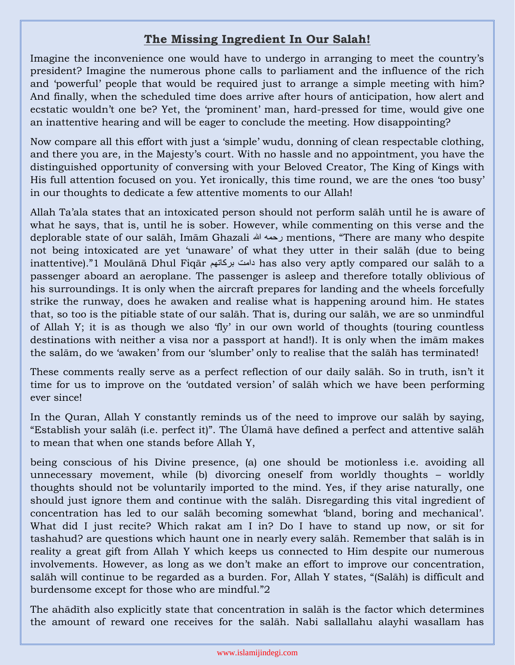## **The Missing Ingredient In Our Salah!**

Imagine the inconvenience one would have to undergo in arranging to meet the country's president? Imagine the numerous phone calls to parliament and the influence of the rich and 'powerful' people that would be required just to arrange a simple meeting with him? And finally, when the scheduled time does arrive after hours of anticipation, how alert and ecstatic wouldn't one be? Yet, the 'prominent' man, hard-pressed for time, would give one an inattentive hearing and will be eager to conclude the meeting. How disappointing?

Now compare all this effort with just a 'simple' wudu, donning of clean respectable clothing, and there you are, in the Majesty's court. With no hassle and no appointment, you have the distinguished opportunity of conversing with your Beloved Creator, The King of Kings with His full attention focused on you. Yet ironically, this time round, we are the ones 'too busy' in our thoughts to dedicate a few attentive moments to our Allah!

Allah Ta'ala states that an intoxicated person should not perform salāh until he is aware of what he says, that is, until he is sober. However, while commenting on this verse and the deplorable state of our salāh, Imām Ghazali هللا رحمه mentions, "There are many who despite not being intoxicated are yet 'unaware' of what they utter in their salāh (due to being inattentive)."1 Moulānā Dhul Fiqār بركاتهم دامت has also very aptly compared our salāh to a passenger aboard an aeroplane. The passenger is asleep and therefore totally oblivious of his surroundings. It is only when the aircraft prepares for landing and the wheels forcefully strike the runway, does he awaken and realise what is happening around him. He states that, so too is the pitiable state of our salāh. That is, during our salāh, we are so unmindful of Allah Y; it is as though we also 'fly' in our own world of thoughts (touring countless destinations with neither a visa nor a passport at hand!). It is only when the imām makes the salām, do we 'awaken' from our 'slumber' only to realise that the salāh has terminated!

These comments really serve as a perfect reflection of our daily salāh. So in truth, isn't it time for us to improve on the 'outdated version' of salāh which we have been performing ever since!

In the Quran, Allah Y constantly reminds us of the need to improve our salāh by saying, "Establish your salāh (i.e. perfect it)". The Úlamā have defined a perfect and attentive salāh to mean that when one stands before Allah Y,

being conscious of his Divine presence, (a) one should be motionless i.e. avoiding all unnecessary movement, while (b) divorcing oneself from worldly thoughts – worldly thoughts should not be voluntarily imported to the mind. Yes, if they arise naturally, one should just ignore them and continue with the salāh. Disregarding this vital ingredient of concentration has led to our salāh becoming somewhat 'bland, boring and mechanical'. What did I just recite? Which rakat am I in? Do I have to stand up now, or sit for tashahud? are questions which haunt one in nearly every salāh. Remember that salāh is in reality a great gift from Allah Y which keeps us connected to Him despite our numerous involvements. However, as long as we don't make an effort to improve our concentration, salāh will continue to be regarded as a burden. For, Allah Y states, "(Salāh) is difficult and burdensome except for those who are mindful."2

The ahādīth also explicitly state that concentration in salāh is the factor which determines the amount of reward one receives for the salāh. Nabi sallallahu alayhi wasallam has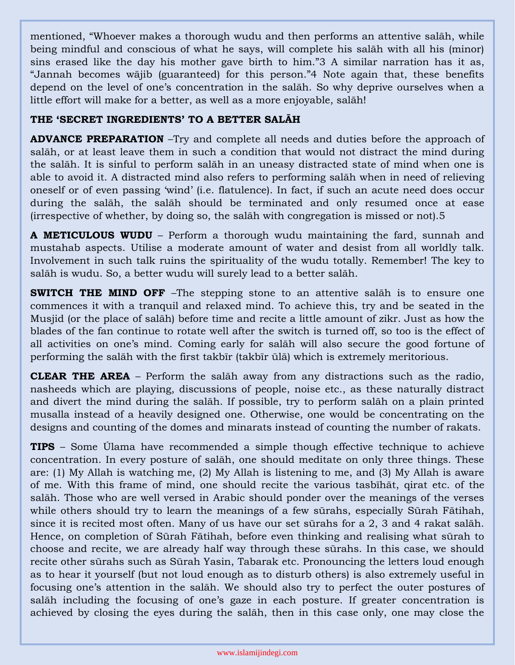mentioned, "Whoever makes a thorough wudu and then performs an attentive salāh, while being mindful and conscious of what he says, will complete his salāh with all his (minor) sins erased like the day his mother gave birth to him."3 A similar narration has it as, "Jannah becomes wājib (guaranteed) for this person."4 Note again that, these benefits depend on the level of one's concentration in the salāh. So why deprive ourselves when a little effort will make for a better, as well as a more enjoyable, salāh!

## **THE 'SECRET INGREDIENTS' TO A BETTER SALĀH**

**ADVANCE PREPARATION** –Try and complete all needs and duties before the approach of salāh, or at least leave them in such a condition that would not distract the mind during the salāh. It is sinful to perform salāh in an uneasy distracted state of mind when one is able to avoid it. A distracted mind also refers to performing salāh when in need of relieving oneself or of even passing 'wind' (i.e. flatulence). In fact, if such an acute need does occur during the salāh, the salāh should be terminated and only resumed once at ease (irrespective of whether, by doing so, the salāh with congregation is missed or not).5

**A METICULOUS WUDU** – Perform a thorough wudu maintaining the fard, sunnah and mustahab aspects. Utilise a moderate amount of water and desist from all worldly talk. Involvement in such talk ruins the spirituality of the wudu totally. Remember! The key to salāh is wudu. So, a better wudu will surely lead to a better salāh.

**SWITCH THE MIND OFF** –The stepping stone to an attentive salah is to ensure one commences it with a tranquil and relaxed mind. To achieve this, try and be seated in the Musjid (or the place of salāh) before time and recite a little amount of zikr. Just as how the blades of the fan continue to rotate well after the switch is turned off, so too is the effect of all activities on one's mind. Coming early for salāh will also secure the good fortune of performing the salāh with the first takbīr (takbīr ūlā) which is extremely meritorious.

**CLEAR THE AREA** – Perform the salāh away from any distractions such as the radio, nasheeds which are playing, discussions of people, noise etc., as these naturally distract and divert the mind during the salāh. If possible, try to perform salāh on a plain printed musalla instead of a heavily designed one. Otherwise, one would be concentrating on the designs and counting of the domes and minarats instead of counting the number of rakats.

**TIPS** – Some Úlama have recommended a simple though effective technique to achieve concentration. In every posture of salāh, one should meditate on only three things. These are: (1) My Allah is watching me, (2) My Allah is listening to me, and (3) My Allah is aware of me. With this frame of mind, one should recite the various tasbīhāt, qirat etc. of the salāh. Those who are well versed in Arabic should ponder over the meanings of the verses while others should try to learn the meanings of a few sūrahs, especially Sūrah Fātihah, since it is recited most often. Many of us have our set sūrahs for a 2, 3 and 4 rakat salāh. Hence, on completion of Sūrah Fātihah, before even thinking and realising what sūrah to choose and recite, we are already half way through these sūrahs. In this case, we should recite other sūrahs such as Sūrah Yasin, Tabarak etc. Pronouncing the letters loud enough as to hear it yourself (but not loud enough as to disturb others) is also extremely useful in focusing one's attention in the salāh. We should also try to perfect the outer postures of salāh including the focusing of one's gaze in each posture. If greater concentration is achieved by closing the eyes during the salāh, then in this case only, one may close the